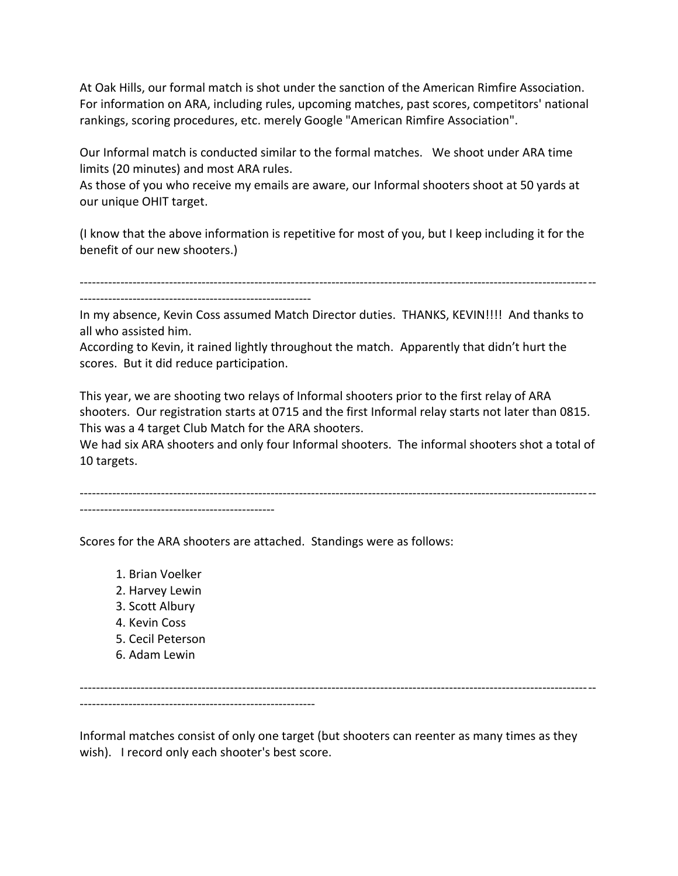At Oak Hills, our formal match is shot under the sanction of the American Rimfire Association. For information on ARA, including rules, upcoming matches, past scores, competitors' national rankings, scoring procedures, etc. merely Google "American Rimfire Association".

Our Informal match is conducted similar to the formal matches. We shoot under ARA time limits (20 minutes) and most ARA rules.

As those of you who receive my emails are aware, our Informal shooters shoot at 50 yards at our unique OHIT target.

(I know that the above information is repetitive for most of you, but I keep including it for the benefit of our new shooters.)

-------------------------------------------------------------------------------------------------------------------------------

---------------------------------------------------------

In my absence, Kevin Coss assumed Match Director duties. THANKS, KEVIN!!!! And thanks to all who assisted him.

According to Kevin, it rained lightly throughout the match. Apparently that didn't hurt the scores. But it did reduce participation.

This year, we are shooting two relays of Informal shooters prior to the first relay of ARA shooters. Our registration starts at 0715 and the first Informal relay starts not later than 0815. This was a 4 target Club Match for the ARA shooters.

We had six ARA shooters and only four Informal shooters. The informal shooters shot a total of 10 targets.

-------------------------------------------------------------------------------------------------------------------------------

------------------------------------------------

Scores for the ARA shooters are attached. Standings were as follows:

- 1. Brian Voelker
- 2. Harvey Lewin
- 3. Scott Albury
- 4. Kevin Coss
- 5. Cecil Peterson
- 6. Adam Lewin

------------------------------------------------------------------------------------------------------------------------------- ----------------------------------------------------------

Informal matches consist of only one target (but shooters can reenter as many times as they wish). I record only each shooter's best score.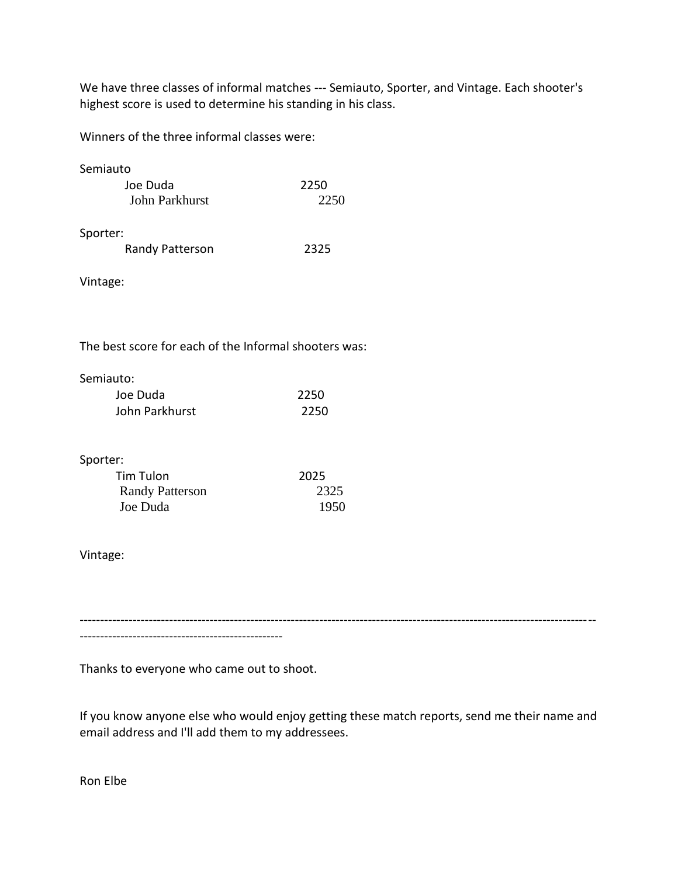We have three classes of informal matches --- Semiauto, Sporter, and Vintage. Each shooter's highest score is used to determine his standing in his class.

Winners of the three informal classes were:

| Semiauto |                 |      |
|----------|-----------------|------|
|          | Joe Duda        | 2250 |
|          | John Parkhurst  | 2250 |
| Sporter: | Randy Patterson | 2325 |
|          |                 |      |

Vintage:

The best score for each of the Informal shooters was:

| Semiauto:      |      |
|----------------|------|
| Joe Duda       | 2250 |
| John Parkhurst | 2250 |

## Sporter:

| Tim Tulon              | 2025 |
|------------------------|------|
| <b>Randy Patterson</b> | 2325 |
| Joe Duda               | 1950 |

## Vintage:

-------------------------------------------------------------------------------------------------------------------------------

--------------------------------------------------

Thanks to everyone who came out to shoot.

If you know anyone else who would enjoy getting these match reports, send me their name and email address and I'll add them to my addressees.

Ron Elbe